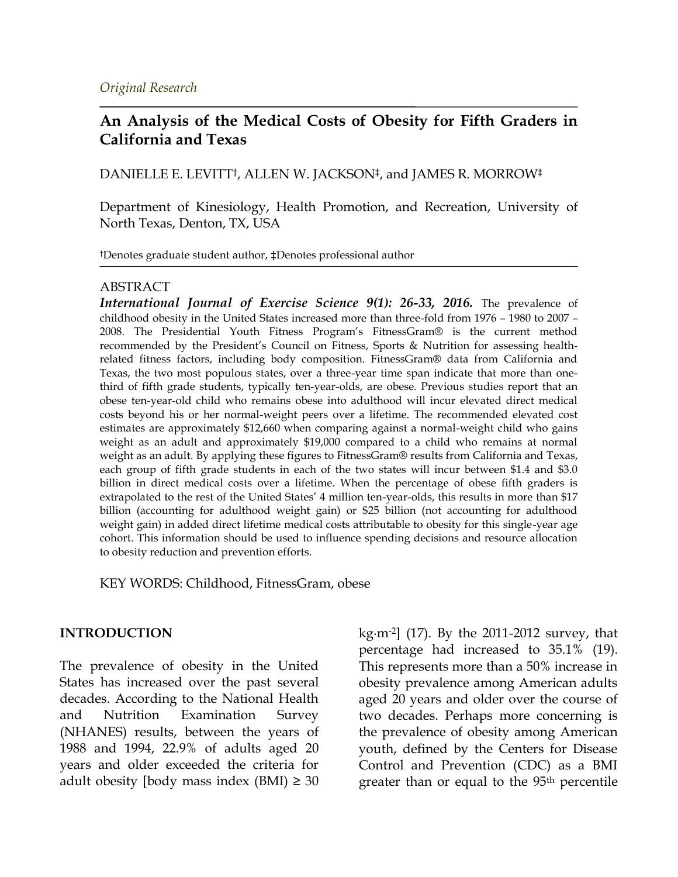## **An Analysis of the Medical Costs of Obesity for Fifth Graders in California and Texas**

DANIELLE E. LEVITT†, ALLEN W. JACKSON‡, and JAMES R. MORROW‡

Department of Kinesiology, Health Promotion, and Recreation, University of North Texas, Denton, TX, USA

†Denotes graduate student author, ‡Denotes professional author

### ABSTRACT

*International Journal of Exercise Science 9(1): 26-33, 2016.* The prevalence of childhood obesity in the United States increased more than three-fold from 1976 – 1980 to 2007 – 2008. The Presidential Youth Fitness Program's FitnessGram® is the current method recommended by the President's Council on Fitness, Sports & Nutrition for assessing healthrelated fitness factors, including body composition. FitnessGram® data from California and Texas, the two most populous states, over a three-year time span indicate that more than onethird of fifth grade students, typically ten-year-olds, are obese. Previous studies report that an obese ten-year-old child who remains obese into adulthood will incur elevated direct medical costs beyond his or her normal-weight peers over a lifetime. The recommended elevated cost estimates are approximately \$12,660 when comparing against a normal-weight child who gains weight as an adult and approximately \$19,000 compared to a child who remains at normal weight as an adult. By applying these figures to FitnessGram® results from California and Texas, each group of fifth grade students in each of the two states will incur between \$1.4 and \$3.0 billion in direct medical costs over a lifetime. When the percentage of obese fifth graders is extrapolated to the rest of the United States' 4 million ten-year-olds, this results in more than \$17 billion (accounting for adulthood weight gain) or \$25 billion (not accounting for adulthood weight gain) in added direct lifetime medical costs attributable to obesity for this single-year age cohort. This information should be used to influence spending decisions and resource allocation to obesity reduction and prevention efforts.

KEY WORDS: Childhood, FitnessGram, obese

#### **INTRODUCTION**

The prevalence of obesity in the United States has increased over the past several decades. According to the National Health and Nutrition Examination Survey (NHANES) results, between the years of 1988 and 1994, 22.9% of adults aged 20 years and older exceeded the criteria for adult obesity [body mass index  $(BMI) \geq 30$  kg∙m-2] (17). By the 2011-2012 survey, that percentage had increased to 35.1% (19). This represents more than a 50% increase in obesity prevalence among American adults aged 20 years and older over the course of two decades. Perhaps more concerning is the prevalence of obesity among American youth, defined by the Centers for Disease Control and Prevention (CDC) as a BMI greater than or equal to the 95<sup>th</sup> percentile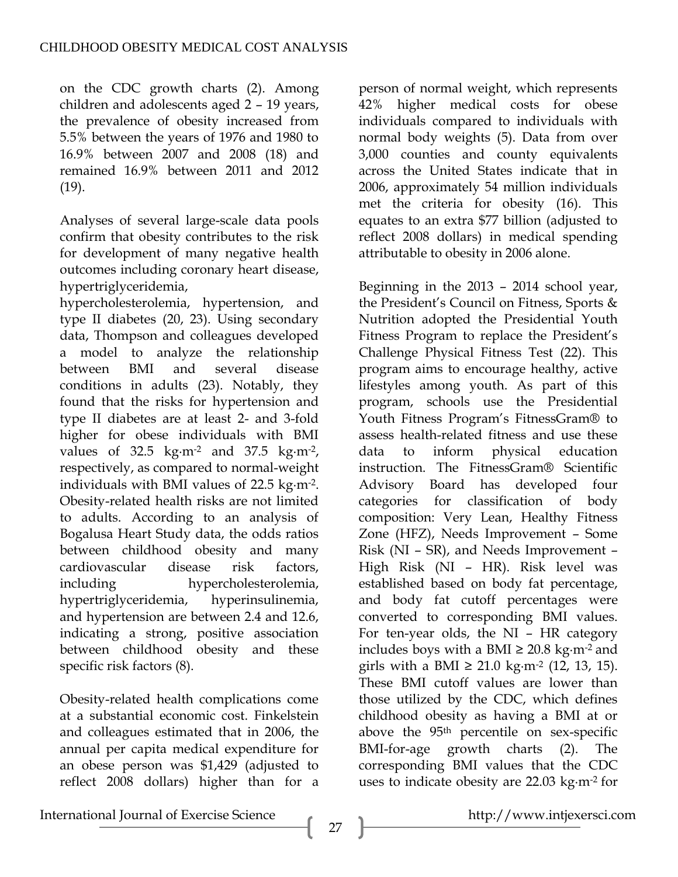on the CDC growth charts (2). Among children and adolescents aged 2 – 19 years, the prevalence of obesity increased from 5.5% between the years of 1976 and 1980 to 16.9% between 2007 and 2008 (18) and remained 16.9% between 2011 and 2012 (19).

Analyses of several large-scale data pools confirm that obesity contributes to the risk for development of many negative health outcomes including coronary heart disease, hypertriglyceridemia,

hypercholesterolemia, hypertension, and type II diabetes (20, 23). Using secondary data, Thompson and colleagues developed a model to analyze the relationship between BMI and several disease conditions in adults (23). Notably, they found that the risks for hypertension and type II diabetes are at least 2- and 3-fold higher for obese individuals with BMI values of 32.5 kg∙m-2 and 37.5 kg∙m-2, respectively, as compared to normal-weight individuals with BMI values of 22.5 kg∙m-2. Obesity-related health risks are not limited to adults. According to an analysis of Bogalusa Heart Study data, the odds ratios between childhood obesity and many cardiovascular disease risk factors, including hypercholesterolemia, hypertriglyceridemia, hyperinsulinemia, and hypertension are between 2.4 and 12.6, indicating a strong, positive association between childhood obesity and these specific risk factors (8).

Obesity-related health complications come at a substantial economic cost. Finkelstein and colleagues estimated that in 2006, the annual per capita medical expenditure for an obese person was \$1,429 (adjusted to reflect 2008 dollars) higher than for a

person of normal weight, which represents 42% higher medical costs for obese individuals compared to individuals with normal body weights (5). Data from over 3,000 counties and county equivalents across the United States indicate that in 2006, approximately 54 million individuals met the criteria for obesity (16). This equates to an extra \$77 billion (adjusted to reflect 2008 dollars) in medical spending attributable to obesity in 2006 alone.

Beginning in the 2013 – 2014 school year, the President's Council on Fitness, Sports & Nutrition adopted the Presidential Youth Fitness Program to replace the President's Challenge Physical Fitness Test (22). This program aims to encourage healthy, active lifestyles among youth. As part of this program, schools use the Presidential Youth Fitness Program's FitnessGram® to assess health-related fitness and use these data to inform physical education instruction. The FitnessGram® Scientific Advisory Board has developed four categories for classification of body composition: Very Lean, Healthy Fitness Zone (HFZ), Needs Improvement – Some Risk (NI – SR), and Needs Improvement – High Risk (NI – HR). Risk level was established based on body fat percentage, and body fat cutoff percentages were converted to corresponding BMI values. For ten-year olds, the NI – HR category includes boys with a BMI ≥ 20.8 kg∙m-2 and girls with a BMI ≥ 21.0 kg⋅m<sup>-2</sup> (12, 13, 15). These BMI cutoff values are lower than those utilized by the CDC, which defines childhood obesity as having a BMI at or above the 95<sup>th</sup> percentile on sex-specific BMI-for-age growth charts (2). The corresponding BMI values that the CDC uses to indicate obesity are 22.03 kg∙m-2 for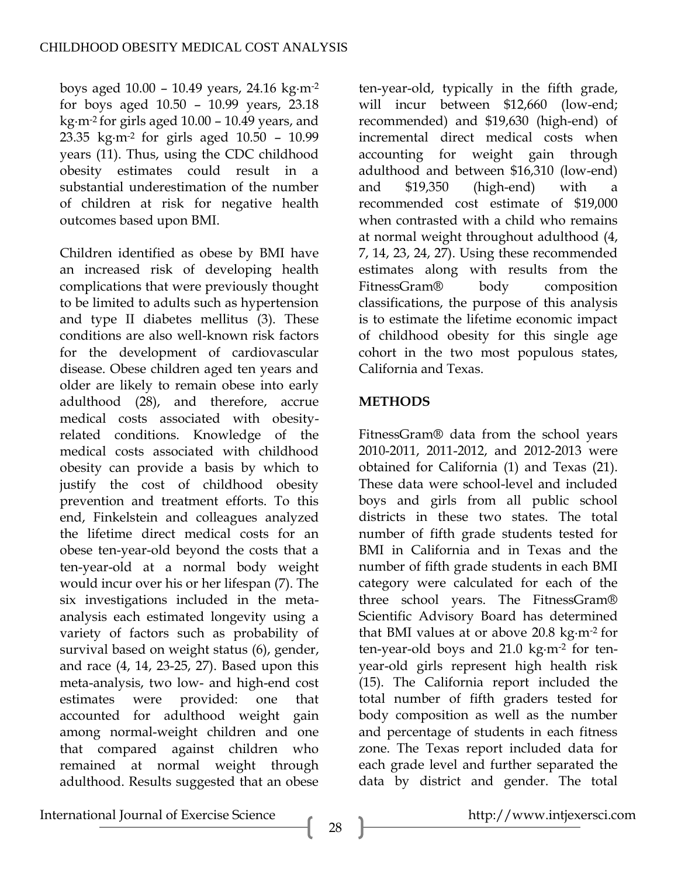boys aged 10.00 – 10.49 years, 24.16 kg∙m-2 for boys aged 10.50 – 10.99 years, 23.18 kg∙m-2 for girls aged 10.00 – 10.49 years, and 23.35 kg∙m-2 for girls aged 10.50 – 10.99 years (11). Thus, using the CDC childhood obesity estimates could result in a substantial underestimation of the number of children at risk for negative health outcomes based upon BMI.

Children identified as obese by BMI have an increased risk of developing health complications that were previously thought to be limited to adults such as hypertension and type II diabetes mellitus (3). These conditions are also well-known risk factors for the development of cardiovascular disease. Obese children aged ten years and older are likely to remain obese into early adulthood (28), and therefore, accrue medical costs associated with obesityrelated conditions. Knowledge of the medical costs associated with childhood obesity can provide a basis by which to justify the cost of childhood obesity prevention and treatment efforts. To this end, Finkelstein and colleagues analyzed the lifetime direct medical costs for an obese ten-year-old beyond the costs that a ten-year-old at a normal body weight would incur over his or her lifespan (7). The six investigations included in the metaanalysis each estimated longevity using a variety of factors such as probability of survival based on weight status (6), gender, and race (4, 14, 23-25, 27). Based upon this meta-analysis, two low- and high-end cost estimates were provided: one that accounted for adulthood weight gain among normal-weight children and one that compared against children who remained at normal weight through adulthood. Results suggested that an obese

ten-year-old, typically in the fifth grade, will incur between \$12,660 (low-end; recommended) and \$19,630 (high-end) of incremental direct medical costs when accounting for weight gain through adulthood and between \$16,310 (low-end) and \$19,350 (high-end) with a recommended cost estimate of \$19,000 when contrasted with a child who remains at normal weight throughout adulthood (4, 7, 14, 23, 24, 27). Using these recommended estimates along with results from the FitnessGram® body composition classifications, the purpose of this analysis is to estimate the lifetime economic impact of childhood obesity for this single age cohort in the two most populous states, California and Texas.

### **METHODS**

FitnessGram® data from the school years 2010-2011, 2011-2012, and 2012-2013 were obtained for California (1) and Texas (21). These data were school-level and included boys and girls from all public school districts in these two states. The total number of fifth grade students tested for BMI in California and in Texas and the number of fifth grade students in each BMI category were calculated for each of the three school years. The FitnessGram® Scientific Advisory Board has determined that BMI values at or above 20.8 kg∙m-2 for ten-year-old boys and 21.0 kg∙m-2 for tenyear-old girls represent high health risk (15). The California report included the total number of fifth graders tested for body composition as well as the number and percentage of students in each fitness zone. The Texas report included data for each grade level and further separated the data by district and gender. The total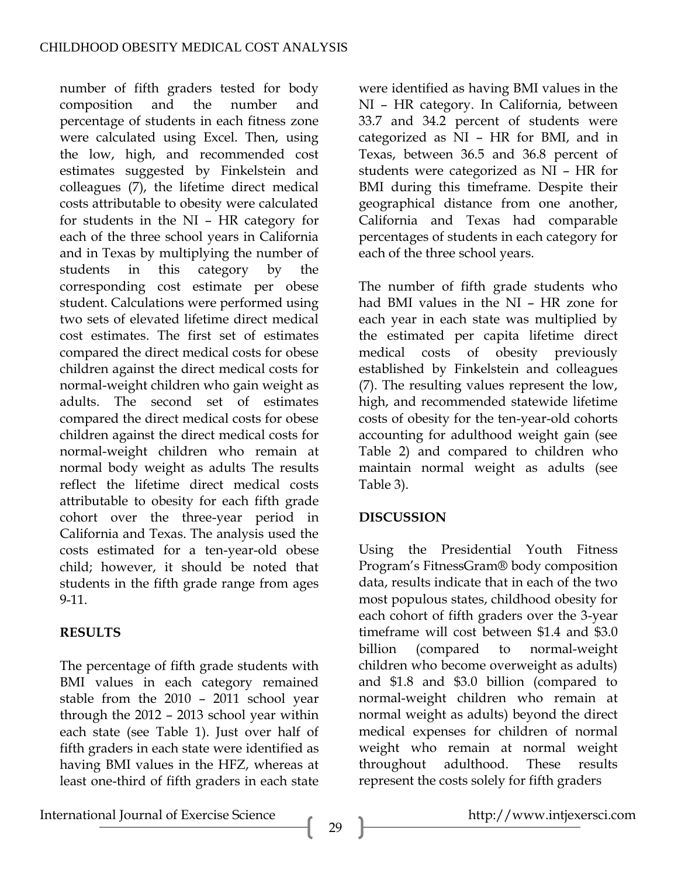number of fifth graders tested for body composition and the number and percentage of students in each fitness zone were calculated using Excel. Then, using the low, high, and recommended cost estimates suggested by Finkelstein and colleagues (7), the lifetime direct medical costs attributable to obesity were calculated for students in the NI – HR category for each of the three school years in California and in Texas by multiplying the number of students in this category by the corresponding cost estimate per obese student. Calculations were performed using two sets of elevated lifetime direct medical cost estimates. The first set of estimates compared the direct medical costs for obese children against the direct medical costs for normal-weight children who gain weight as adults. The second set of estimates compared the direct medical costs for obese children against the direct medical costs for normal-weight children who remain at normal body weight as adults The results reflect the lifetime direct medical costs attributable to obesity for each fifth grade cohort over the three-year period in California and Texas. The analysis used the costs estimated for a ten-year-old obese child; however, it should be noted that students in the fifth grade range from ages 9-11.

# **RESULTS**

The percentage of fifth grade students with BMI values in each category remained stable from the 2010 – 2011 school year through the 2012 – 2013 school year within each state (see Table 1). Just over half of fifth graders in each state were identified as having BMI values in the HFZ, whereas at least one-third of fifth graders in each state were identified as having BMI values in the NI – HR category. In California, between 33.7 and 34.2 percent of students were categorized as NI – HR for BMI, and in Texas, between 36.5 and 36.8 percent of students were categorized as NI – HR for BMI during this timeframe. Despite their geographical distance from one another, California and Texas had comparable percentages of students in each category for each of the three school years.

The number of fifth grade students who had BMI values in the NI – HR zone for each year in each state was multiplied by the estimated per capita lifetime direct medical costs of obesity previously established by Finkelstein and colleagues (7). The resulting values represent the low, high, and recommended statewide lifetime costs of obesity for the ten-year-old cohorts accounting for adulthood weight gain (see Table 2) and compared to children who maintain normal weight as adults (see Table 3).

# **DISCUSSION**

Using the Presidential Youth Fitness Program's FitnessGram® body composition data, results indicate that in each of the two most populous states, childhood obesity for each cohort of fifth graders over the 3-year timeframe will cost between \$1.4 and \$3.0 billion (compared to normal-weight children who become overweight as adults) and \$1.8 and \$3.0 billion (compared to normal-weight children who remain at normal weight as adults) beyond the direct medical expenses for children of normal weight who remain at normal weight throughout adulthood. These results represent the costs solely for fifth graders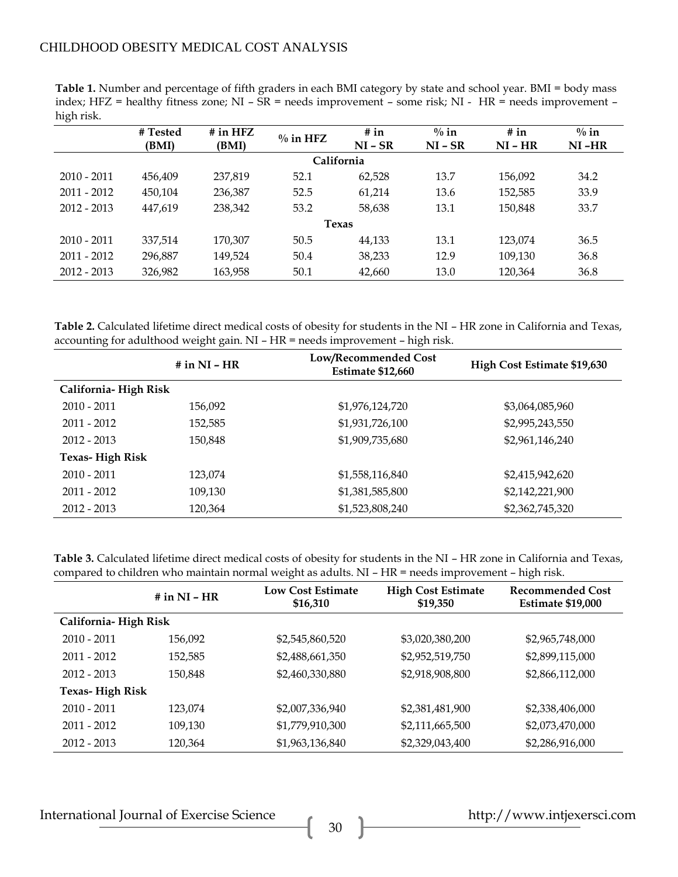### CHILDHOOD OBESITY MEDICAL COST ANALYSIS

**Table 1.** Number and percentage of fifth graders in each BMI category by state and school year. BMI = body mass index; HFZ = healthy fitness zone; NI – SR = needs improvement – some risk; NI - HR = needs improvement – high risk.

|               | # Tested<br>(BMI) | $#$ in HFZ<br>(BMI) | $\%$ in HFZ | # in<br>$NI - SR$ | $\%$ in<br>$NI - SR$ | # in<br>$NI - HR$ | $\%$ in<br>$NI-HR$ |  |
|---------------|-------------------|---------------------|-------------|-------------------|----------------------|-------------------|--------------------|--|
| California    |                   |                     |             |                   |                      |                   |                    |  |
| $2010 - 2011$ | 456.409           | 237,819             | 52.1        | 62,528            | 13.7                 | 156,092           | 34.2               |  |
| $2011 - 2012$ | 450.104           | 236,387             | 52.5        | 61.214            | 13.6                 | 152,585           | 33.9               |  |
| $2012 - 2013$ | 447,619           | 238,342             | 53.2        | 58,638            | 13.1                 | 150,848           | 33.7               |  |
| <b>Texas</b>  |                   |                     |             |                   |                      |                   |                    |  |
| $2010 - 2011$ | 337,514           | 170,307             | 50.5        | 44,133            | 13.1                 | 123,074           | 36.5               |  |
| $2011 - 2012$ | 296,887           | 149,524             | 50.4        | 38,233            | 12.9                 | 109,130           | 36.8               |  |
| $2012 - 2013$ | 326,982           | 163,958             | 50.1        | 42,660            | 13.0                 | 120,364           | 36.8               |  |

**Table 2.** Calculated lifetime direct medical costs of obesity for students in the NI – HR zone in California and Texas, accounting for adulthood weight gain. NI – HR = needs improvement – high risk.

|                        | # in $NI - HR$ | Low/Recommended Cost<br><b>Estimate \$12,660</b> | High Cost Estimate \$19,630 |  |  |  |  |
|------------------------|----------------|--------------------------------------------------|-----------------------------|--|--|--|--|
| California-High Risk   |                |                                                  |                             |  |  |  |  |
| $2010 - 2011$          | 156,092        | \$1,976,124,720                                  | \$3,064,085,960             |  |  |  |  |
| 2011 - 2012            | 152,585        | \$1,931,726,100                                  | \$2,995,243,550             |  |  |  |  |
| $2012 - 2013$          | 150,848        | \$1,909,735,680                                  | \$2,961,146,240             |  |  |  |  |
| <b>Texas-High Risk</b> |                |                                                  |                             |  |  |  |  |
| $2010 - 2011$          | 123,074        | \$1,558,116,840                                  | \$2,415,942,620             |  |  |  |  |
| 2011 - 2012            | 109,130        | \$1,381,585,800                                  | \$2,142,221,900             |  |  |  |  |
| $2012 - 2013$          | 120,364        | \$1,523,808,240                                  | \$2,362,745,320             |  |  |  |  |

**Table 3.** Calculated lifetime direct medical costs of obesity for students in the NI – HR zone in California and Texas, compared to children who maintain normal weight as adults. NI – HR = needs improvement – high risk.

|                        | # in $NI - HR$ | <b>Low Cost Estimate</b><br>\$16,310 | <b>High Cost Estimate</b><br>\$19,350 | Recommended Cost<br><b>Estimate \$19,000</b> |  |
|------------------------|----------------|--------------------------------------|---------------------------------------|----------------------------------------------|--|
| California-High Risk   |                |                                      |                                       |                                              |  |
| $2010 - 2011$          | 156,092        | \$2,545,860,520                      | \$3,020,380,200                       | \$2,965,748,000                              |  |
| $2011 - 2012$          | 152,585        | \$2,488,661,350                      | \$2,952,519,750                       | \$2,899,115,000                              |  |
| $2012 - 2013$          | 150,848        | \$2,460,330,880                      | \$2,918,908,800                       | \$2,866,112,000                              |  |
| <b>Texas-High Risk</b> |                |                                      |                                       |                                              |  |
| $2010 - 2011$          | 123.074        | \$2,007,336,940                      | \$2,381,481,900                       | \$2,338,406,000                              |  |
| $2011 - 2012$          | 109,130        | \$1,779,910,300                      | \$2,111,665,500                       | \$2,073,470,000                              |  |
| $2012 - 2013$          | 120,364        | \$1,963,136,840                      | \$2,329,043,400                       | \$2,286,916,000                              |  |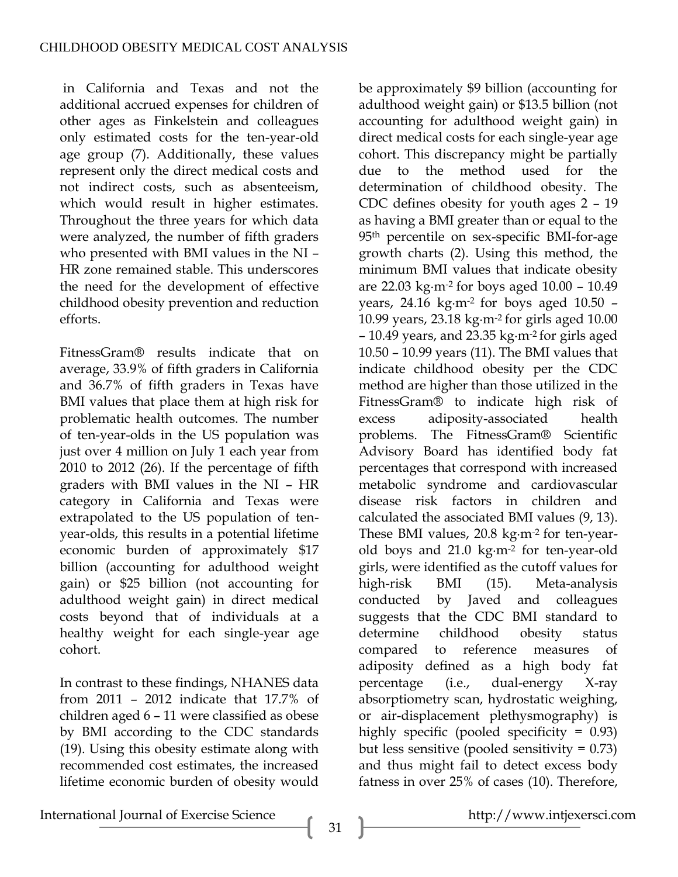in California and Texas and not the additional accrued expenses for children of other ages as Finkelstein and colleagues only estimated costs for the ten-year-old age group (7). Additionally, these values represent only the direct medical costs and not indirect costs, such as absenteeism, which would result in higher estimates. Throughout the three years for which data were analyzed, the number of fifth graders who presented with BMI values in the NI – HR zone remained stable. This underscores the need for the development of effective childhood obesity prevention and reduction efforts.

FitnessGram® results indicate that on average, 33.9% of fifth graders in California and 36.7% of fifth graders in Texas have BMI values that place them at high risk for problematic health outcomes. The number of ten-year-olds in the US population was just over 4 million on July 1 each year from 2010 to 2012 (26). If the percentage of fifth graders with BMI values in the NI – HR category in California and Texas were extrapolated to the US population of tenyear-olds, this results in a potential lifetime economic burden of approximately \$17 billion (accounting for adulthood weight gain) or \$25 billion (not accounting for adulthood weight gain) in direct medical costs beyond that of individuals at a healthy weight for each single-year age cohort.

In contrast to these findings, NHANES data from 2011 – 2012 indicate that 17.7% of children aged 6 – 11 were classified as obese by BMI according to the CDC standards (19). Using this obesity estimate along with recommended cost estimates, the increased lifetime economic burden of obesity would

be approximately \$9 billion (accounting for adulthood weight gain) or \$13.5 billion (not accounting for adulthood weight gain) in direct medical costs for each single-year age cohort. This discrepancy might be partially due to the method used for the determination of childhood obesity. The CDC defines obesity for youth ages 2 – 19 as having a BMI greater than or equal to the 95<sup>th</sup> percentile on sex-specific BMI-for-age growth charts (2). Using this method, the minimum BMI values that indicate obesity are 22.03 kg∙m-2 for boys aged 10.00 – 10.49 years, 24.16 kg∙m-2 for boys aged 10.50 – 10.99 years, 23.18 kg∙m-2 for girls aged 10.00 – 10.49 years, and 23.35 kg∙m-2 for girls aged 10.50 – 10.99 years (11). The BMI values that indicate childhood obesity per the CDC method are higher than those utilized in the FitnessGram® to indicate high risk of excess adiposity-associated health problems. The FitnessGram® Scientific Advisory Board has identified body fat percentages that correspond with increased metabolic syndrome and cardiovascular disease risk factors in children and calculated the associated BMI values (9, 13). These BMI values, 20.8 kg∙m-2 for ten-yearold boys and 21.0 kg∙m-2 for ten-year-old girls, were identified as the cutoff values for high-risk BMI (15). Meta-analysis conducted by Javed and colleagues suggests that the CDC BMI standard to determine childhood obesity status compared to reference measures of adiposity defined as a high body fat percentage (i.e., dual-energy X-ray absorptiometry scan, hydrostatic weighing, or air-displacement plethysmography) is highly specific (pooled specificity = 0.93) but less sensitive (pooled sensitivity = 0.73) and thus might fail to detect excess body fatness in over 25% of cases (10). Therefore,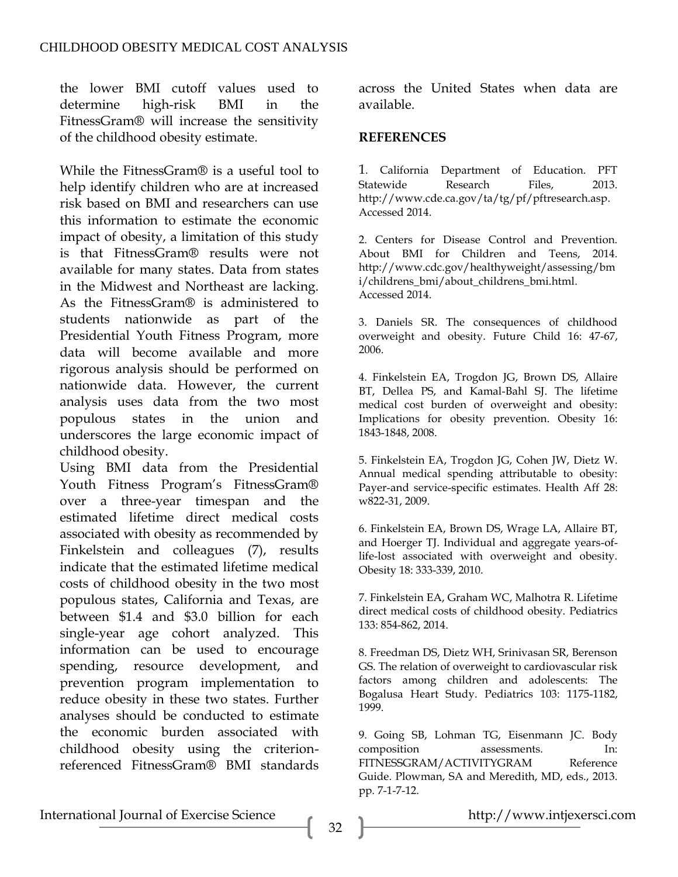the lower BMI cutoff values used to determine high-risk BMI in the FitnessGram® will increase the sensitivity of the childhood obesity estimate.

While the FitnessGram® is a useful tool to help identify children who are at increased risk based on BMI and researchers can use this information to estimate the economic impact of obesity, a limitation of this study is that FitnessGram® results were not available for many states. Data from states in the Midwest and Northeast are lacking. As the FitnessGram® is administered to students nationwide as part of the Presidential Youth Fitness Program, more data will become available and more rigorous analysis should be performed on nationwide data. However, the current analysis uses data from the two most populous states in the union and underscores the large economic impact of childhood obesity.

Using BMI data from the Presidential Youth Fitness Program's FitnessGram® over a three-year timespan and the estimated lifetime direct medical costs associated with obesity as recommended by Finkelstein and colleagues (7), results indicate that the estimated lifetime medical costs of childhood obesity in the two most populous states, California and Texas, are between \$1.4 and \$3.0 billion for each single-year age cohort analyzed. This information can be used to encourage spending, resource development, and prevention program implementation to reduce obesity in these two states. Further analyses should be conducted to estimate the economic burden associated with childhood obesity using the criterionreferenced FitnessGram® BMI standards

across the United States when data are available.

### **REFERENCES**

1. California Department of Education. PFT Statewide Research Files, 2013. http://www.cde.ca.gov/ta/tg/pf/pftresearch.asp. Accessed 2014.

2. Centers for Disease Control and Prevention. About BMI for Children and Teens, 2014. http://www.cdc.gov/healthyweight/assessing/bm i/childrens\_bmi/about\_childrens\_bmi.html. Accessed 2014.

3. Daniels SR. The consequences of childhood overweight and obesity. Future Child 16: 47-67, 2006.

4. Finkelstein EA, Trogdon JG, Brown DS, Allaire BT, Dellea PS, and Kamal-Bahl SJ. The lifetime medical cost burden of overweight and obesity: Implications for obesity prevention. Obesity 16: 1843-1848, 2008.

5. Finkelstein EA, Trogdon JG, Cohen JW, Dietz W. Annual medical spending attributable to obesity: Payer-and service-specific estimates. Health Aff 28: w822-31, 2009.

6. Finkelstein EA, Brown DS, Wrage LA, Allaire BT, and Hoerger TJ. Individual and aggregate years-oflife-lost associated with overweight and obesity. Obesity 18: 333-339, 2010.

7. Finkelstein EA, Graham WC, Malhotra R. Lifetime direct medical costs of childhood obesity. Pediatrics 133: 854-862, 2014.

8. Freedman DS, Dietz WH, Srinivasan SR, Berenson GS. The relation of overweight to cardiovascular risk factors among children and adolescents: The Bogalusa Heart Study. Pediatrics 103: 1175-1182, 1999.

9. Going SB, Lohman TG, Eisenmann JC. Body composition assessments. In: FITNESSGRAM/ACTIVITYGRAM Reference Guide. Plowman, SA and Meredith, MD, eds., 2013. pp. 7-1-7-12.